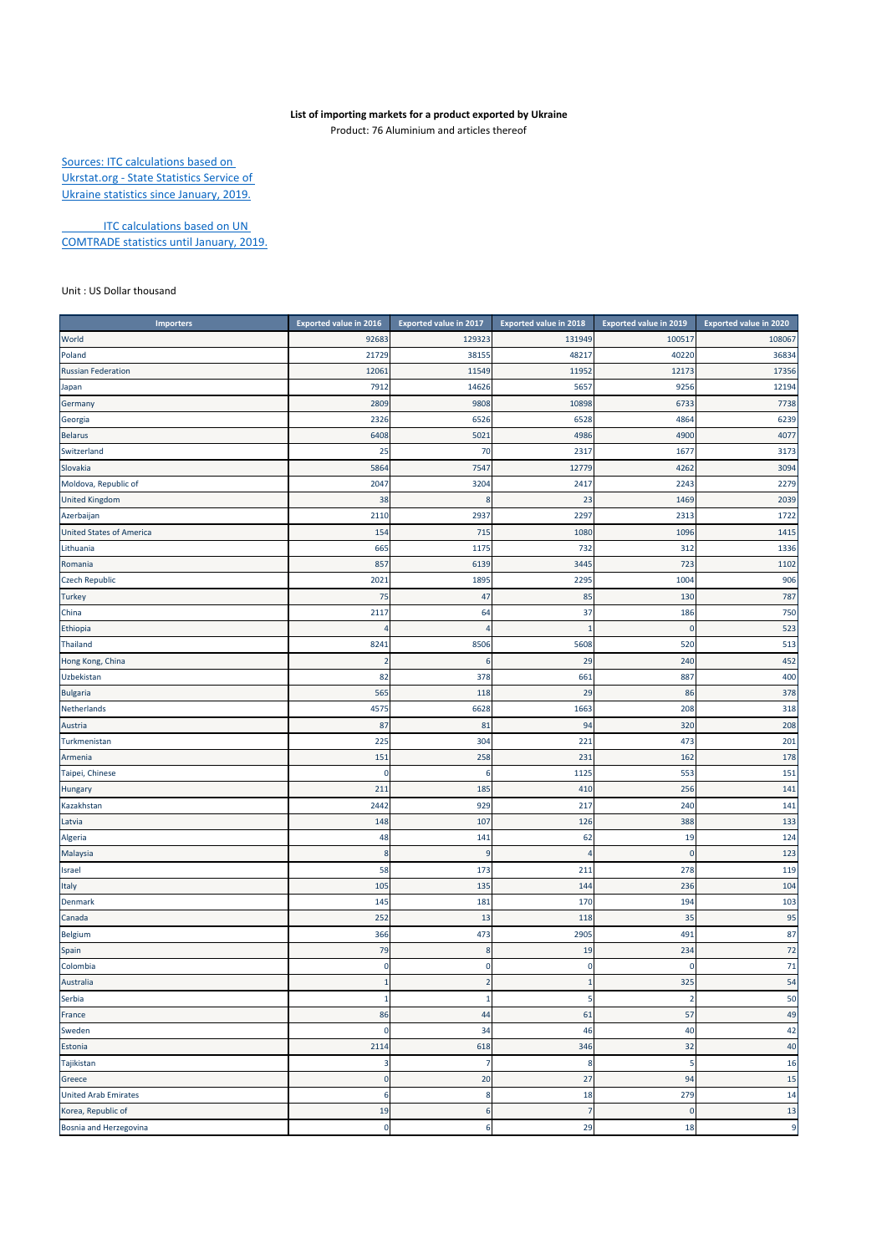## **List of importing markets for a product exported by Ukraine**

Product: 76 Aluminium and articles thereof

Sources: ITC calculations based on Ukrstat.org ‐ State Statistics Service of Ukraine statistics since January, 2019.

**ITC calculations based on UN** COMTRADE statistics until January, 2019.

Unit : US Dollar thousand

| <b>Importers</b>                | <b>Exported value in 2016</b> | Exported value in 2017 | Exported value in 2018 | Exported value in 2019 | Exported value in 2020 |
|---------------------------------|-------------------------------|------------------------|------------------------|------------------------|------------------------|
| World                           | 92683                         | 129323                 | 131949                 | 100517                 | 108067                 |
| Poland                          | 21729                         | 38155                  | 48217                  | 40220                  | 36834                  |
| <b>Russian Federation</b>       | 12061                         | 11549                  | 11952                  | 12173                  | 17356                  |
| Japan                           | 7912                          | 14626                  | 5657                   | 9256                   | 12194                  |
| Germany                         | 2809                          | 9808                   | 10898                  | 6733                   | 7738                   |
| Georgia                         | 2326                          | 6526                   | 6528                   | 4864                   | 6239                   |
| <b>Belarus</b>                  | 6408                          | 5021                   | 4986                   | 4900                   | 4077                   |
| Switzerland                     | 25                            | 70                     | 2317                   | 1677                   | 3173                   |
| Slovakia                        | 5864                          | 7547                   | 12779                  | 4262                   | 3094                   |
| Moldova, Republic of            | 2047                          | 3204                   | 2417                   | 2243                   | 2279                   |
| <b>United Kingdom</b>           | 38                            | ε                      | 23                     | 1469                   | 2039                   |
| Azerbaijan                      | 2110                          | 2937                   | 2297                   | 2313                   | 1722                   |
| <b>United States of America</b> | 154                           | 715                    | 1080                   | 1096                   | 1415                   |
| Lithuania                       | 665                           | 1175                   | 732                    | 312                    | 1336                   |
| Romania                         | 857                           | 6139                   | 3445                   | 723                    | 1102                   |
| <b>Czech Republic</b>           | 2021                          | 1895                   | 2295                   | 1004                   | 906                    |
| <b>Turkey</b>                   | 75                            | 47                     | 85                     | 130                    | 787                    |
| China                           | 2117                          | 64                     | 37                     | 186                    | 750                    |
| Ethiopia                        |                               | 4                      | $\mathbf{1}$           | $\mathbf 0$            | 523                    |
| Thailand                        | 8241                          | 8506                   | 5608                   | 520                    | 513                    |
| Hong Kong, China                | 2                             | 6                      | 29                     | 240                    | 452                    |
| Uzbekistan                      | 82                            | 378                    | 661                    | 887                    | 400                    |
| <b>Bulgaria</b>                 | 565                           | 118                    | 29                     | 86                     | 378                    |
| Netherlands                     | 4575                          | 6628                   | 1663                   | 208                    | 318                    |
| Austria                         | 87                            | 81                     | 94                     | 320                    | 208                    |
| Turkmenistan                    | 225                           | 304                    | 221                    | 473                    | 201                    |
| Armenia                         | 151                           | 258                    | 231                    | 162                    | 178                    |
| Taipei, Chinese                 | $\mathbf 0$                   | 6                      | 1125                   | 553                    | 151                    |
| Hungary                         | 211                           | 185                    | 410                    | 256                    | 141                    |
| Kazakhstan                      | 2442                          | 929                    | 217                    | 240                    | 141                    |
| Latvia                          | 148                           | 107                    | 126                    | 388                    | 133                    |
| Algeria                         | 48                            | 141                    | 62                     | 19                     | 124                    |
| Malaysia                        | 8                             | 9                      | $\overline{4}$         | $\mathbf{0}$           | 123                    |
| Israel                          | 58                            | 173                    | 211                    | 278                    | 119                    |
| Italy                           | 105                           | 135                    | 144                    | 236                    | 104                    |
| Denmark                         | 145                           | 181                    | 170                    | 194                    | 103                    |
| Canada                          | 252                           | 13                     | 118                    | 35                     | 95                     |
| Belgium                         | 366                           | 473                    | 2905                   | 491                    | 87                     |
| Spain                           | 79                            | $\bf 8$                | 19                     | 234                    | 72                     |
| Colombia                        | $\pmb{0}$                     | 0                      | $\mathbf 0$            | $\mathbf{0}$           | 71                     |
| Australia                       |                               |                        |                        | 325                    | 54                     |
| Serbia                          | 1                             | 1                      | 5                      | $\overline{2}$         | 50                     |
| France                          | 86                            | 44                     | 61                     | 57                     | 49                     |
| Sweden                          | $\pmb{0}$                     | 34                     | 46                     | 40                     | 42                     |
| Estonia                         | 2114                          | 618                    | 346                    | 32                     | 40                     |
| Tajikistan                      | 3                             | 7                      | 8                      | 5                      | 16                     |
| Greece                          | $\mathbf 0$                   | 20                     | 27                     | 94                     | 15                     |
| <b>United Arab Emirates</b>     | 6                             | 8                      | 18                     | 279                    | 14                     |
| Korea, Republic of              | 19                            | 6                      | $\overline{7}$         | $\mathbf 0$            | 13                     |
| Bosnia and Herzegovina          | $\pmb{0}$                     | 6                      | 29                     | 18                     | 9                      |